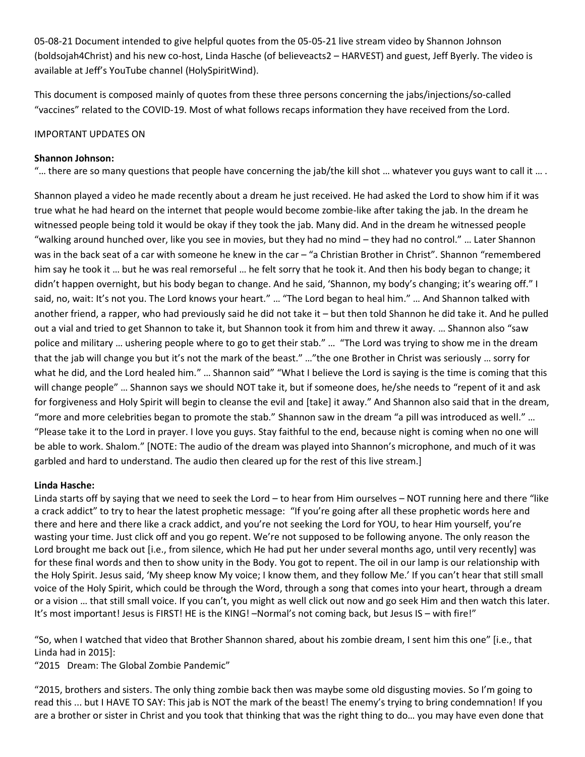05-08-21 Document intended to give helpful quotes from the 05-05-21 live stream video by Shannon Johnson (boldsojah4Christ) and his new co-host, Linda Hasche (of believeacts2 – HARVEST) and guest, Jeff Byerly. The video is available at Jeff's YouTube channel (HolySpiritWind).

This document is composed mainly of quotes from these three persons concerning the jabs/injections/so-called "vaccines" related to the COVID-19. Most of what follows recaps information they have received from the Lord.

# IMPORTANT UPDATES ON

## **Shannon Johnson:**

"... there are so many questions that people have concerning the jab/the kill shot ... whatever you guys want to call it  $...$ 

Shannon played a video he made recently about a dream he just received. He had asked the Lord to show him if it was true what he had heard on the internet that people would become zombie-like after taking the jab. In the dream he witnessed people being told it would be okay if they took the jab. Many did. And in the dream he witnessed people "walking around hunched over, like you see in movies, but they had no mind – they had no control." … Later Shannon was in the back seat of a car with someone he knew in the car – "a Christian Brother in Christ". Shannon "remembered him say he took it … but he was real remorseful … he felt sorry that he took it. And then his body began to change; it didn't happen overnight, but his body began to change. And he said, 'Shannon, my body's changing; it's wearing off." I said, no, wait: It's not you. The Lord knows your heart." … "The Lord began to heal him." … And Shannon talked with another friend, a rapper, who had previously said he did not take it – but then told Shannon he did take it. And he pulled out a vial and tried to get Shannon to take it, but Shannon took it from him and threw it away. … Shannon also "saw police and military … ushering people where to go to get their stab." … "The Lord was trying to show me in the dream that the jab will change you but it's not the mark of the beast." …"the one Brother in Christ was seriously … sorry for what he did, and the Lord healed him." ... Shannon said" "What I believe the Lord is saying is the time is coming that this will change people" … Shannon says we should NOT take it, but if someone does, he/she needs to "repent of it and ask for forgiveness and Holy Spirit will begin to cleanse the evil and [take] it away." And Shannon also said that in the dream, "more and more celebrities began to promote the stab." Shannon saw in the dream "a pill was introduced as well." … "Please take it to the Lord in prayer. I love you guys. Stay faithful to the end, because night is coming when no one will be able to work. Shalom." [NOTE: The audio of the dream was played into Shannon's microphone, and much of it was garbled and hard to understand. The audio then cleared up for the rest of this live stream.]

## **Linda Hasche:**

Linda starts off by saying that we need to seek the Lord – to hear from Him ourselves – NOT running here and there "like a crack addict" to try to hear the latest prophetic message: "If you're going after all these prophetic words here and there and here and there like a crack addict, and you're not seeking the Lord for YOU, to hear Him yourself, you're wasting your time. Just click off and you go repent. We're not supposed to be following anyone. The only reason the Lord brought me back out [i.e., from silence, which He had put her under several months ago, until very recently] was for these final words and then to show unity in the Body. You got to repent. The oil in our lamp is our relationship with the Holy Spirit. Jesus said, 'My sheep know My voice; I know them, and they follow Me.' If you can't hear that still small voice of the Holy Spirit, which could be through the Word, through a song that comes into your heart, through a dream or a vision … that still small voice. If you can't, you might as well click out now and go seek Him and then watch this later. It's most important! Jesus is FIRST! HE is the KING! -Normal's not coming back, but Jesus IS - with fire!"

"So, when I watched that video that Brother Shannon shared, about his zombie dream, I sent him this one" [i.e., that Linda had in 2015]:

"2015 Dream: The Global Zombie Pandemic"

"2015, brothers and sisters. The only thing zombie back then was maybe some old disgusting movies. So I'm going to read this ... but I HAVE TO SAY: This jab is NOT the mark of the beast! The enemy's trying to bring condemnation! If you are a brother or sister in Christ and you took that thinking that was the right thing to do… you may have even done that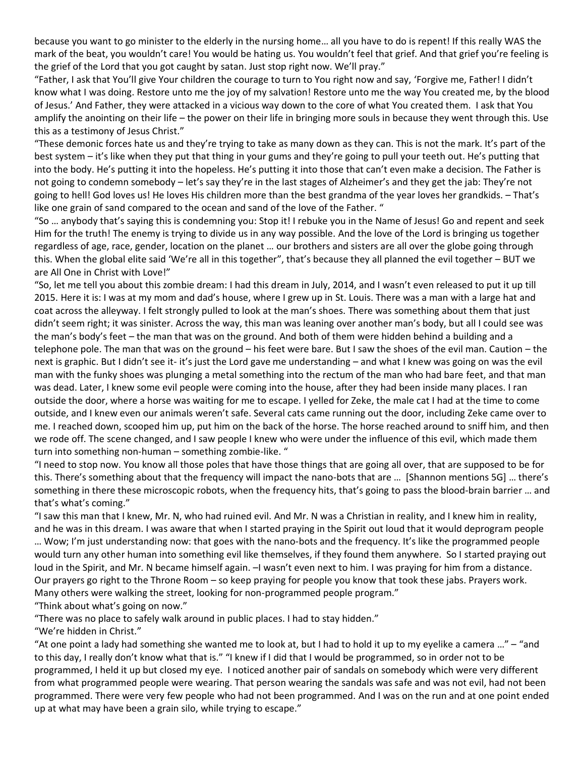because you want to go minister to the elderly in the nursing home… all you have to do is repent! If this really WAS the mark of the beat, you wouldn't care! You would be hating us. You wouldn't feel that grief. And that grief you're feeling is the grief of the Lord that you got caught by satan. Just stop right now. We'll pray."

"Father, I ask that You'll give Your children the courage to turn to You right now and say, 'Forgive me, Father! I didn't know what I was doing. Restore unto me the joy of my salvation! Restore unto me the way You created me, by the blood of Jesus.' And Father, they were attacked in a vicious way down to the core of what You created them. I ask that You amplify the anointing on their life – the power on their life in bringing more souls in because they went through this. Use this as a testimony of Jesus Christ."

"These demonic forces hate us and they're trying to take as many down as they can. This is not the mark. It's part of the best system – it's like when they put that thing in your gums and they're going to pull your teeth out. He's putting that into the body. He's putting it into the hopeless. He's putting it into those that can't even make a decision. The Father is not going to condemn somebody – let's say they're in the last stages of Alzheimer's and they get the jab: They're not going to hell! God loves us! He loves His children more than the best grandma of the year loves her grandkids. – That's like one grain of sand compared to the ocean and sand of the love of the Father. "

"So … anybody that's saying this is condemning you: Stop it! I rebuke you in the Name of Jesus! Go and repent and seek Him for the truth! The enemy is trying to divide us in any way possible. And the love of the Lord is bringing us together regardless of age, race, gender, location on the planet … our brothers and sisters are all over the globe going through this. When the global elite said 'We're all in this together", that's because they all planned the evil together – BUT we are All One in Christ with Love!"

"So, let me tell you about this zombie dream: I had this dream in July, 2014, and I wasn't even released to put it up till 2015. Here it is: I was at my mom and dad's house, where I grew up in St. Louis. There was a man with a large hat and coat across the alleyway. I felt strongly pulled to look at the man's shoes. There was something about them that just didn't seem right; it was sinister. Across the way, this man was leaning over another man's body, but all I could see was the man's body's feet – the man that was on the ground. And both of them were hidden behind a building and a telephone pole. The man that was on the ground – his feet were bare. But I saw the shoes of the evil man. Caution – the next is graphic. But I didn't see it- it's just the Lord gave me understanding – and what I knew was going on was the evil man with the funky shoes was plunging a metal something into the rectum of the man who had bare feet, and that man was dead. Later, I knew some evil people were coming into the house, after they had been inside many places. I ran outside the door, where a horse was waiting for me to escape. I yelled for Zeke, the male cat I had at the time to come outside, and I knew even our animals weren't safe. Several cats came running out the door, including Zeke came over to me. I reached down, scooped him up, put him on the back of the horse. The horse reached around to sniff him, and then we rode off. The scene changed, and I saw people I knew who were under the influence of this evil, which made them turn into something non-human – something zombie-like. "

"I need to stop now. You know all those poles that have those things that are going all over, that are supposed to be for this. There's something about that the frequency will impact the nano-bots that are … [Shannon mentions 5G] … there's something in there these microscopic robots, when the frequency hits, that's going to pass the blood-brain barrier … and that's what's coming."

"I saw this man that I knew, Mr. N, who had ruined evil. And Mr. N was a Christian in reality, and I knew him in reality, and he was in this dream. I was aware that when I started praying in the Spirit out loud that it would deprogram people … Wow; I'm just understanding now: that goes with the nano-bots and the frequency. It's like the programmed people would turn any other human into something evil like themselves, if they found them anywhere. So I started praying out loud in the Spirit, and Mr. N became himself again.  $-1$  wasn't even next to him. I was praying for him from a distance. Our prayers go right to the Throne Room – so keep praying for people you know that took these jabs. Prayers work. Many others were walking the street, looking for non-programmed people program."

"Think about what's going on now."

"There was no place to safely walk around in public places. I had to stay hidden."

"We're hidden in Christ."

"At one point a lady had something she wanted me to look at, but I had to hold it up to my eyelike a camera …" – "and to this day, I really don't know what that is." "I knew if I did that I would be programmed, so in order not to be programmed, I held it up but closed my eye. I noticed another pair of sandals on somebody which were very different from what programmed people were wearing. That person wearing the sandals was safe and was not evil, had not been programmed. There were very few people who had not been programmed. And I was on the run and at one point ended up at what may have been a grain silo, while trying to escape."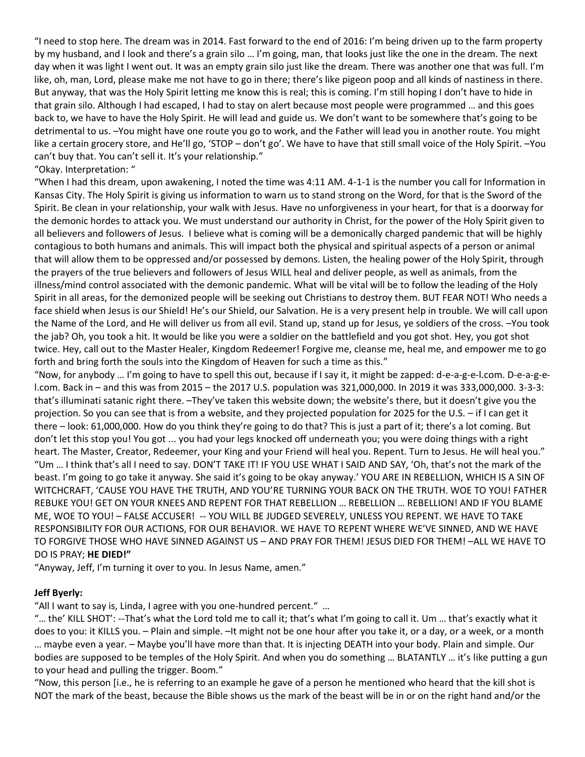"I need to stop here. The dream was in 2014. Fast forward to the end of 2016: I'm being driven up to the farm property by my husband, and I look and there's a grain silo … I'm going, man, that looks just like the one in the dream. The next day when it was light I went out. It was an empty grain silo just like the dream. There was another one that was full. I'm like, oh, man, Lord, please make me not have to go in there; there's like pigeon poop and all kinds of nastiness in there. But anyway, that was the Holy Spirit letting me know this is real; this is coming. I'm still hoping I don't have to hide in that grain silo. Although I had escaped, I had to stay on alert because most people were programmed … and this goes back to, we have to have the Holy Spirit. He will lead and guide us. We don't want to be somewhere that's going to be detrimental to us. –You might have one route you go to work, and the Father will lead you in another route. You might like a certain grocery store, and He'll go, 'STOP – don't go'. We have to have that still small voice of the Holy Spirit. –You can't buy that. You can't sell it. It's your relationship."

### "Okay. Interpretation: "

"When I had this dream, upon awakening, I noted the time was 4:11 AM. 4-1-1 is the number you call for Information in Kansas City. The Holy Spirit is giving us information to warn us to stand strong on the Word, for that is the Sword of the Spirit. Be clean in your relationship, your walk with Jesus. Have no unforgiveness in your heart, for that is a doorway for the demonic hordes to attack you. We must understand our authority in Christ, for the power of the Holy Spirit given to all believers and followers of Jesus. I believe what is coming will be a demonically charged pandemic that will be highly contagious to both humans and animals. This will impact both the physical and spiritual aspects of a person or animal that will allow them to be oppressed and/or possessed by demons. Listen, the healing power of the Holy Spirit, through the prayers of the true believers and followers of Jesus WILL heal and deliver people, as well as animals, from the illness/mind control associated with the demonic pandemic. What will be vital will be to follow the leading of the Holy Spirit in all areas, for the demonized people will be seeking out Christians to destroy them. BUT FEAR NOT! Who needs a face shield when Jesus is our Shield! He's our Shield, our Salvation. He is a very present help in trouble. We will call upon the Name of the Lord, and He will deliver us from all evil. Stand up, stand up for Jesus, ye soldiers of the cross. –You took the jab? Oh, you took a hit. It would be like you were a soldier on the battlefield and you got shot. Hey, you got shot twice. Hey, call out to the Master Healer, Kingdom Redeemer! Forgive me, cleanse me, heal me, and empower me to go forth and bring forth the souls into the Kingdom of Heaven for such a time as this."

"Now, for anybody … I'm going to have to spell this out, because if I say it, it might be zapped: d-e-a-g-e-l.com. D-e-a-g-el.com. Back in – and this was from 2015 – the 2017 U.S. population was 321,000,000. In 2019 it was 333,000,000. 3-3-3: that's illuminati satanic right there. –They've taken this website down; the website's there, but it doesn't give you the projection. So you can see that is from a website, and they projected population for 2025 for the U.S. – if I can get it there – look: 61,000,000. How do you think they're going to do that? This is just a part of it; there's a lot coming. But don't let this stop you! You got ... you had your legs knocked off underneath you; you were doing things with a right heart. The Master, Creator, Redeemer, your King and your Friend will heal you. Repent. Turn to Jesus. He will heal you." "Um … I think that's all I need to say. DON'T TAKE IT! IF YOU USE WHAT I SAID AND SAY, 'Oh, that's not the mark of the beast. I'm going to go take it anyway. She said it's going to be okay anyway.' YOU ARE IN REBELLION, WHICH IS A SIN OF WITCHCRAFT, 'CAUSE YOU HAVE THE TRUTH, AND YOU'RE TURNING YOUR BACK ON THE TRUTH. WOE TO YOU! FATHER REBUKE YOU! GET ON YOUR KNEES AND REPENT FOR THAT REBELLION … REBELLION … REBELLION! AND IF YOU BLAME ME, WOE TO YOU! – FALSE ACCUSER! -- YOU WILL BE JUDGED SEVERELY, UNLESS YOU REPENT. WE HAVE TO TAKE RESPONSIBILITY FOR OUR ACTIONS, FOR OUR BEHAVIOR. WE HAVE TO REPENT WHERE WE'VE SINNED, AND WE HAVE TO FORGIVE THOSE WHO HAVE SINNED AGAINST US – AND PRAY FOR THEM! JESUS DIED FOR THEM! –ALL WE HAVE TO DO IS PRAY; **HE DIED!"**

"Anyway, Jeff, I'm turning it over to you. In Jesus Name, amen."

## **Jeff Byerly:**

"All I want to say is, Linda, I agree with you one-hundred percent." …

"… the' KILL SHOT': --That's what the Lord told me to call it; that's what I'm going to call it. Um … that's exactly what it does to you: it KILLS you. – Plain and simple. –It might not be one hour after you take it, or a day, or a week, or a month … maybe even a year. – Maybe you'll have more than that. It is injecting DEATH into your body. Plain and simple. Our bodies are supposed to be temples of the Holy Spirit. And when you do something … BLATANTLY … it's like putting a gun to your head and pulling the trigger. Boom."

"Now, this person [i.e., he is referring to an example he gave of a person he mentioned who heard that the kill shot is NOT the mark of the beast, because the Bible shows us the mark of the beast will be in or on the right hand and/or the